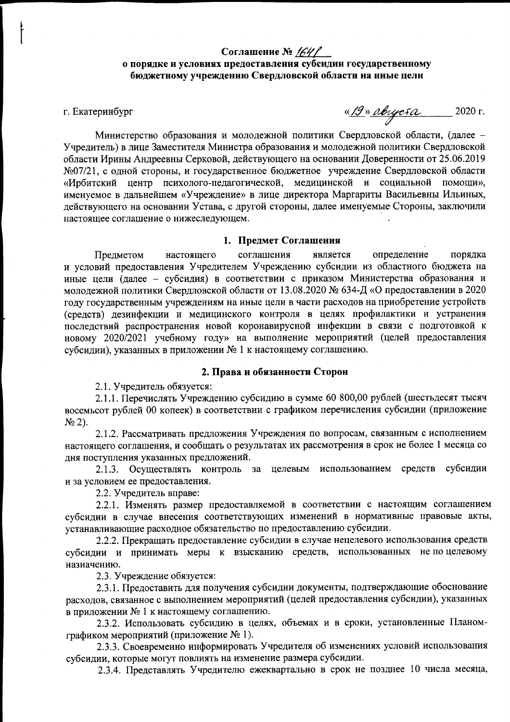# Соглашение №  $/64/$ о порядке и условиях предоставления субсидии государственному бюджетному учреждению Свердловской области на иные цели

### г. Екатеринбург

<u>«19» августа</u> 2020 г.

Министерство образования и молодежной политики Свердловской области, (далее -Учредитель) в лице Заместителя Министра образования и молодежной политики Свердловской области Ирины Андреевны Серковой, действующего на основании Доверенности от 25.06.2019 №07/21, с одной стороны, и государственное бюджетное учреждение Свердловской области «Ирбитский центр психолого-педагогической, медицинской и социальной помощи», именуемое в дальнейшем «Учреждение» в лице директора Маргариты Васильевны Ильиных, действующего на основании Устава, с другой стороны, далее именуемые Стороны, заключили настоящее соглашение о нижеследующем.

### 1. Прелмет Соглашения

соглашения определение порядка Предметом настоящего является и условий предоставления Учредителем Учреждению субсидии из областного бюджета на иные цели (далее - субсидия) в соответствии с приказом Министерства образования и молодежной политики Свердловской области от 13.08.2020 № 634-Д «О предоставлении в 2020 году государственным учреждениям на иные цели в части расходов на приобретение устройств (средств) дезинфекции и медицинского контроля в целях профилактики и устранения последствий распространения новой коронавирусной инфекции в связи с подготовкой к новому 2020/2021 учебному году» на выполнение мероприятий (целей предоставления субсидии), указанных в приложении № 1 к настоящему соглашению.

### 2. Права и обязанности Сторон

2.1. Учредитель обязуется:

2.1.1. Перечислять Учреждению субсидию в сумме 60 800,00 рублей (шестьдесят тысяч восемьсот рублей 00 копеек) в соответствии с графиком перечисления субсидии (приложение  $N<sub>2</sub>$ ).

2.1.2. Рассматривать предложения Учреждения по вопросам, связанным с исполнением настоящего соглашения, и сообщать о результатах их рассмотрения в срок не более 1 месяца со лня поступления указанных предложений.

2.1.3. Осуществлять контроль за целевым использованием средств субсидии и за условием ее предоставления.

2.2. Учредитель вправе:

2.2.1. Изменять размер предоставляемой в соответствии с настоящим соглашением субсидии в случае внесения соответствующих изменений в нормативные правовые акты, устанавливающие расходное обязательство по предоставлению субсидии.

2.2.2. Прекращать предоставление субсидии в случае нецелевого использования средств субсидии и принимать меры к взысканию средств, использованных непоцелевому назначению.

2.3. Учреждение обязуется:

2.3.1. Предоставить для получения субсидии документы, подтверждающие обоснование расходов, связанное с выполнением мероприятий (целей предоставления субсидии), указанных в приложении № 1 к настоящему соглашению.

2.3.2. Использовать субсидию в целях, объемах и в сроки, установленные Планомграфиком мероприятий (приложение № 1).

2.3.3. Своевременно информировать Учредителя об изменениях условий использования субсидии, которые могут повлиять на изменение размера субсидии.

2.3.4. Представлять Учредителю ежеквартально в срок не позднее 10 числа месяца,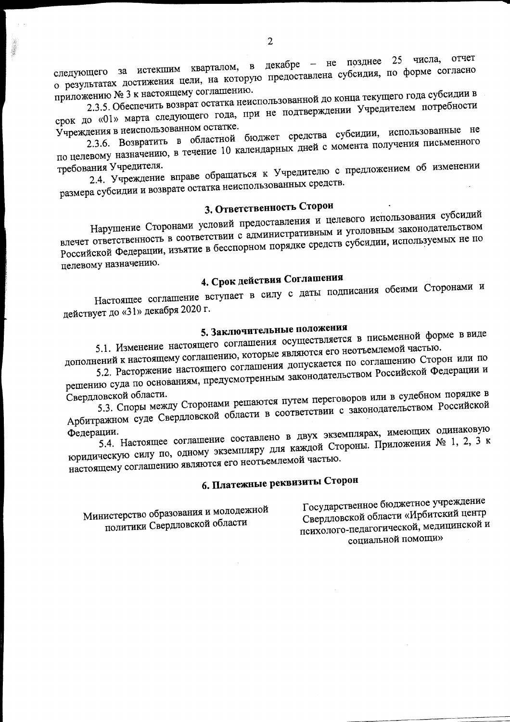декабре - не позднее 25 числа, отчет следующего за истекшим кварталом, в о результатах достижения цели, на которую предоставлена субсидия, по форме согласно приложению № 3 к настоящему соглашению.

2.3.5. Обеспечить возврат остатка неиспользованной до конца текущего года субсидии в срок до «01» марта следующего года, при не подтверждении Учредителем потребности Учреждения в неиспользованном остатке.

2.3.6. Возвратить в областной бюджет средства субсидии, использованные не по целевому назначению, в течение 10 календарных дней с момента получения письменного

2.4. Учреждение вправе обращаться к Учредителю с предложением об изменении требования Учредителя. размера субсидии и возврате остатка неиспользованных средств.

# 3. Ответственность Сторон

Нарушение Сторонами условий предоставления и целевого использования субсидий влечет ответственность в соответствии с административным и уголовным законодательством Российской Федерации, изъятие в бесспорном порядке средств субсидии, используемых не по целевому назначению.

# 4. Срок действия Соглашения

Настоящее соглашение вступает в силу с даты подписания обеими Сторонами и действует до «31» декабря 2020 г.

# 5. Заключительные положения

5.1. Изменение настоящего соглашения осуществляется в письменной форме в виде дополнений к настоящему соглашению, которые являются его неотъемлемой частью.

5.2. Расторжение настоящего соглашения допускается по соглашению Сторон или по решению суда по основаниям, предусмотренным законодательством Российской Федерации и

5.3. Споры между Сторонами решаются путем переговоров или в судебном порядке в Свердловской области. Арбитражном суде Свердловской области в соответствии с законодательством Российской

5.4. Настоящее соглашение составлено в двух экземплярах, имеющих одинаковую Федерации. юридическую силу по, одному экземпляру для каждой Стороны. Приложения № 1, 2, 3 к настоящему соглашению являются его неотъемлемой частью.

# 6. Платежные реквизиты Сторон

Министерство образования и молодежной политики Свердловской области

Государственное бюджетное учреждение Свердловской области «Ирбитский центр психолого-педагогической, медицинской и социальной помощи»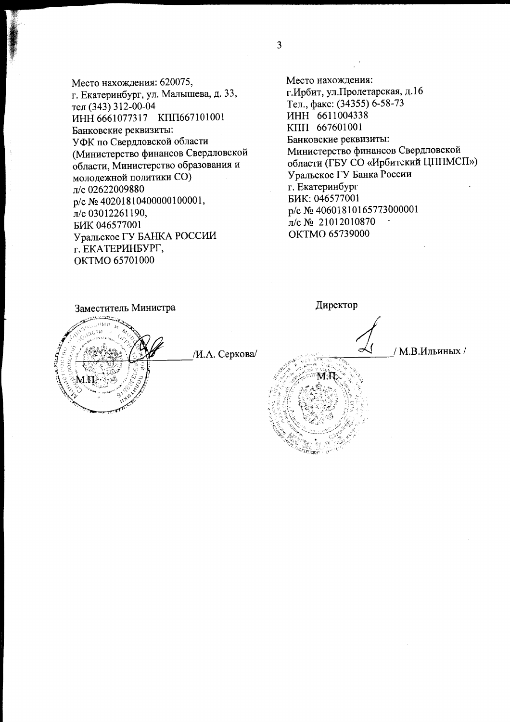Место нахождения: 620075, г. Екатеринбург, ул. Малышева, д. 33, тел (343) 312-00-04 ИНН 6661077317 КПП667101001 Банковские реквизиты: УФК по Свердловской области (Министерство финансов Свердловской области, Министерство образования и молодежной политики CO) л/с 02622009880 p/c Nº 40201810400000100001, л/с 03012261190, БИК 046577001 Уральское ГУ БАНКА РОССИИ г. ЕКАТЕРИНБУРГ, OKTMO 65701000

Место нахождения: г. Ирбит, ул. Пролетарская, д.16 Тел., факс: (34355) 6-58-73 ИНН 6611004338 KIIII 667601001 Банковские реквизиты: Министерство финансов Свердловской области (ГБУ СО «Ирбитский ЦППМСП») Уральское ГУ Банка России г. Екатеринбург БИК: 046577001 p/c № 40601810165773000001 л/с № 21012010870 OKTMO 65739000

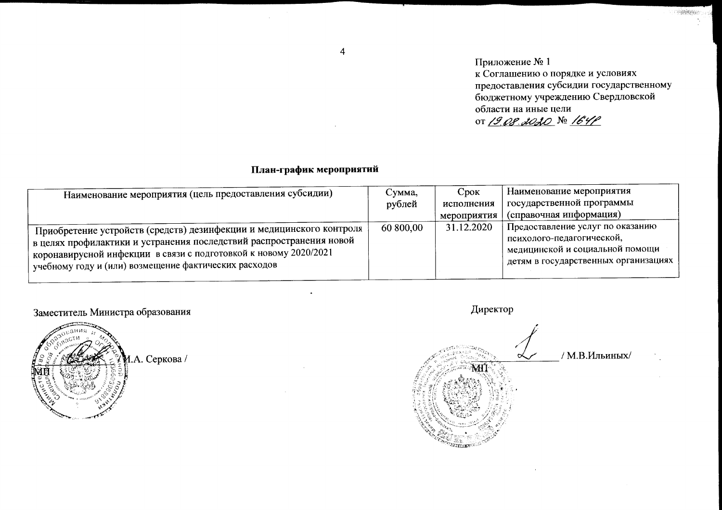$\overline{4}$ 

Приложение № 1 к Соглашению о порядке и условиях предоставления субсидии государственному бюджетному учреждению Свердловской области на иные цели 0T 19 08 2020 No 164P

**COMMERCIAL** 

# План-график мероприятий

| Наименование мероприятия (цель предоставления субсидии)                                                                                                                                                                                                                  | Сумма,    | Срок        | Наименование мероприятия                                                                                                                 |
|--------------------------------------------------------------------------------------------------------------------------------------------------------------------------------------------------------------------------------------------------------------------------|-----------|-------------|------------------------------------------------------------------------------------------------------------------------------------------|
|                                                                                                                                                                                                                                                                          | рублей    | исполнения  | государственной программы                                                                                                                |
|                                                                                                                                                                                                                                                                          |           | мероприятия | (справочная информация)                                                                                                                  |
| Приобретение устройств (средств) дезинфекции и медицинского контроля<br>в целях профилактики и устранения последствий распространения новой<br>коронавирусной инфекции в связи с подготовкой к новому 2020/2021<br>учебному году и (или) возмещение фактических расходов | 60 800,00 | 31.12.2020  | Предоставление услуг по оказанию<br>психолого-педагогической,<br>недицинской и социальной помощи<br>детям в государственных организациях |

# Заместитель Министра образования



Директор / М.В.Ильиных/  $\propto$ <u>Litter</u>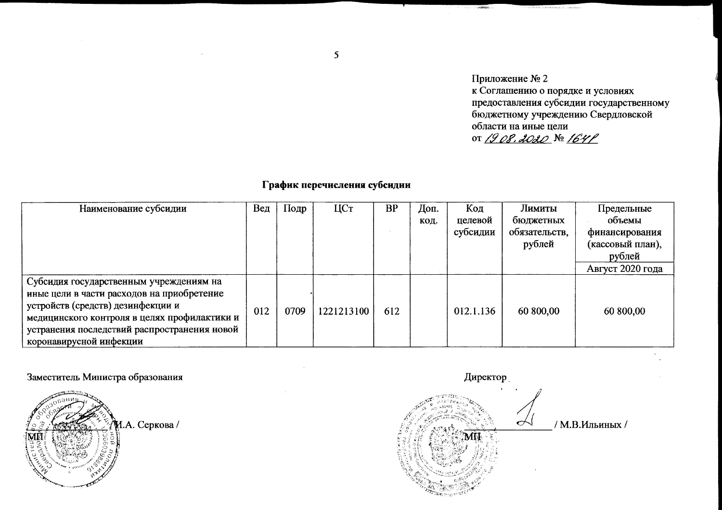Приложение № 2 к Соглашению о порядке и условиях предоставления субсидии государственному бюджетному учреждению Свердловской области на иные цели or 1908.2020 № 1641

 $A = 1$ 

# График перечисления субсидии

| Наименование субсидии                                                                                                                                                                                                                                 | Вед | Подр | ЦСт        | <b>BP</b> | Доп.<br>КОД. | Код<br>целевой<br>субсидии | Лимиты<br>бюджетных<br>обязательств,<br>рублей | Предельные<br>объемы<br>финансирования<br>(кассовый план),<br>рублей<br>Август 2020 года |
|-------------------------------------------------------------------------------------------------------------------------------------------------------------------------------------------------------------------------------------------------------|-----|------|------------|-----------|--------------|----------------------------|------------------------------------------------|------------------------------------------------------------------------------------------|
| Субсидия государственным учреждениям на<br>иные цели в части расходов на приобретение<br>устройств (средств) дезинфекции и<br>медицинского контроля в целях профилактики и<br>устранения последствий распространения новой<br>коронавирусной инфекции | 012 | 0709 | 1221213100 | 612       |              | 012.1.136                  | 60 800,00                                      | 60 800,00                                                                                |

Заместитель Министра образования

И.А. Серкова /

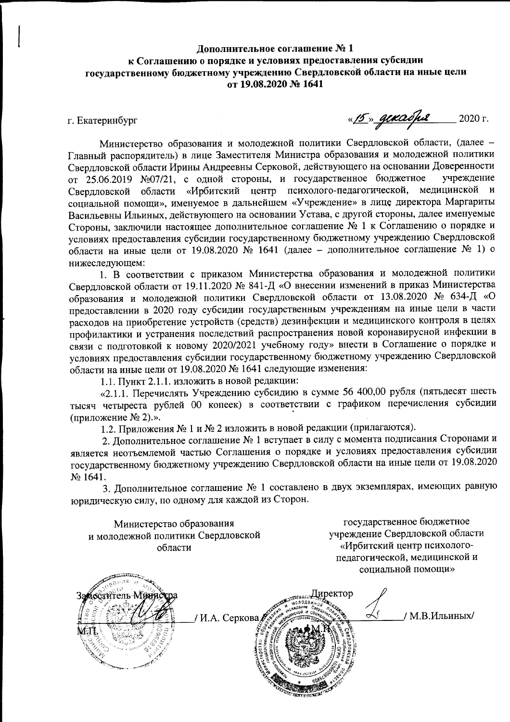# Дополнительное соглашение №1 к Соглашению о порядке и условиях предоставления субсидии государственному бюджетному учреждению Свердловской области на иные цели от 19.08.2020 № 1641

г. Екатеринбург

<u>«15» gekadpe</u>  $2020$  г.

Министерство образования и молодежной политики Свердловской области, (далее -Главный распорядитель) в лице Заместителя Министра образования и молодежной политики Свердловской области Ирины Андреевны Серковой, действующего на основании Доверенности от 25.06.2019 №07/21, с одной стороны, и государственное бюджетное учреждение Свердловской области «Ирбитский центр психолого-педагогической, медицинской и социальной помощи», именуемое в дальнейшем «Учреждение» в лице директора Маргариты Васильевны Ильиных, действующего на основании Устава, с другой стороны, далее именуемые Стороны, заключили настоящее дополнительное соглашение № 1 к Соглашению о порядке и условиях предоставления субсидии государственному бюджетному учреждению Свердловской области на иные цели от 19.08.2020 № 1641 (далее - дополнительное соглашение № 1) о нижеследующем:

1. В соответствии с приказом Министерства образования и молодежной политики Свердловской области от 19.11.2020 № 841-Д «О внесении изменений в приказ Министерства образования и молодежной политики Свердловской области от 13.08.2020 № 634-Д «О предоставлении в 2020 году субсидии государственным учреждениям на иные цели в части расходов на приобретение устройств (средств) дезинфекции и медицинского контроля в целях профилактики и устранения последствий распространения новой коронавирусной инфекции в связи с подготовкой к новому 2020/2021 учебному году» внести в Соглашение о порядке и условиях предоставления субсидии государственному бюджетному учреждению Свердловской области на иные цели от 19.08.2020 № 1641 следующие изменения:

1.1. Пункт 2.1.1. изложить в новой редакции:

«2.1.1. Перечислять Учреждению субсидию в сумме 56 400,00 рубля (пятьдесят шесть тысяч четыреста рублей 00 копеек) в соответствии с графиком перечисления субсидии (приложение № 2).».

1.2. Приложения № 1 и № 2 изложить в новой редакции (прилагаются).

2. Дополнительное соглашение № 1 вступает в силу с момента подписания Сторонами и является неотъемлемой частью Соглашения о порядке и условиях предоставления субсидии государственному бюджетному учреждению Свердловской области на иные цели от 19.08.2020 No 1641.

3. Дополнительное соглашение № 1 составлено в двух экземплярах, имеющих равную юридическую силу, по одному для каждой из Сторон.

Министерство образования и молодежной политики Свердловской области

государственное бюджетное учреждение Свердловской области «Ирбитский центр психологопедагогической, медицинской и сопиальной помощи»

**Сеститель Мини** Директор / М.В.Ильиных/ / И.А. Серкова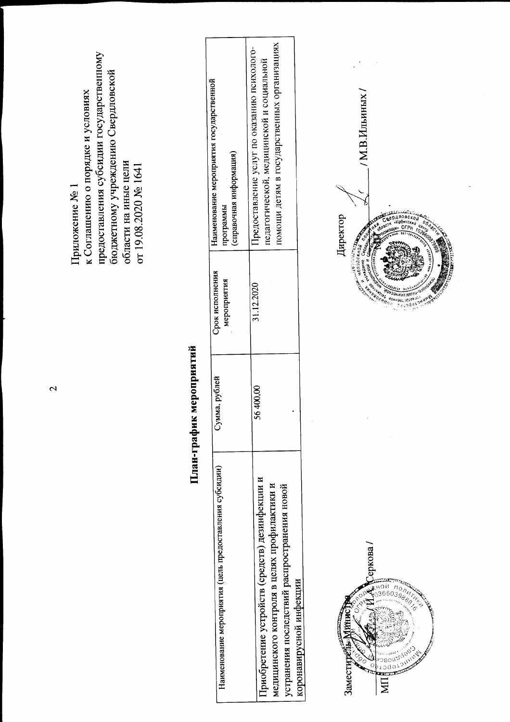предоставления субсидии государственному бюджетному учреждению Свердловской к Соглашению о порядке и условиях области на иные цели<br>от 19.08.2020 № 1641 Приложение № 1

# План-график мероприятий

| Наименование мероприятия (цель предоставления субсидии) | Сумма, рублей | Срок исполнения | Наименование мероприятия государственной    |
|---------------------------------------------------------|---------------|-----------------|---------------------------------------------|
|                                                         |               | мероприятия     | справочная информация)<br>программы         |
|                                                         |               | 31.12.2020      | Предоставление услуг по оказанию психолого- |
| Приобретение устройств (средств) дезинфекции и          | 56400,00      |                 | педагогической, медицинской и социальной    |
| медицинского контроля в целях профилактики и            |               |                 | помощи детям в государственных организациях |
| устранения последствий распространения новой            |               |                 |                                             |
| коронавирусной инфекции                                 |               |                 |                                             |